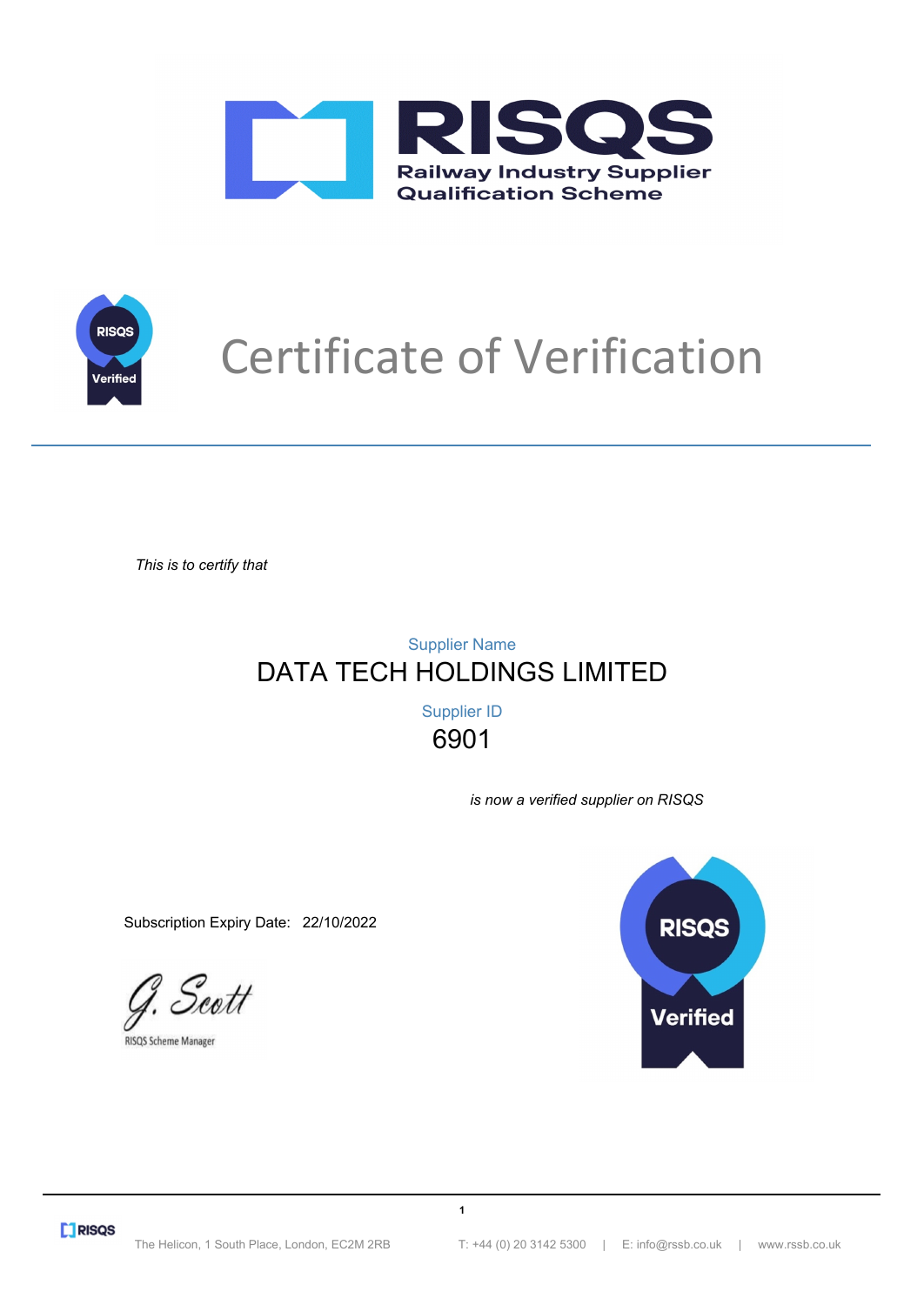



# Certificate of Verification

*This is to certify that*

## DATA TECH HOLDINGS LIMITED Supplier Name

6901 Supplier ID

*is now a verified supplier on RISQS*

Subscription Expiry Date: 22/10/2022

J. Scott

RISQS Scheme Manager



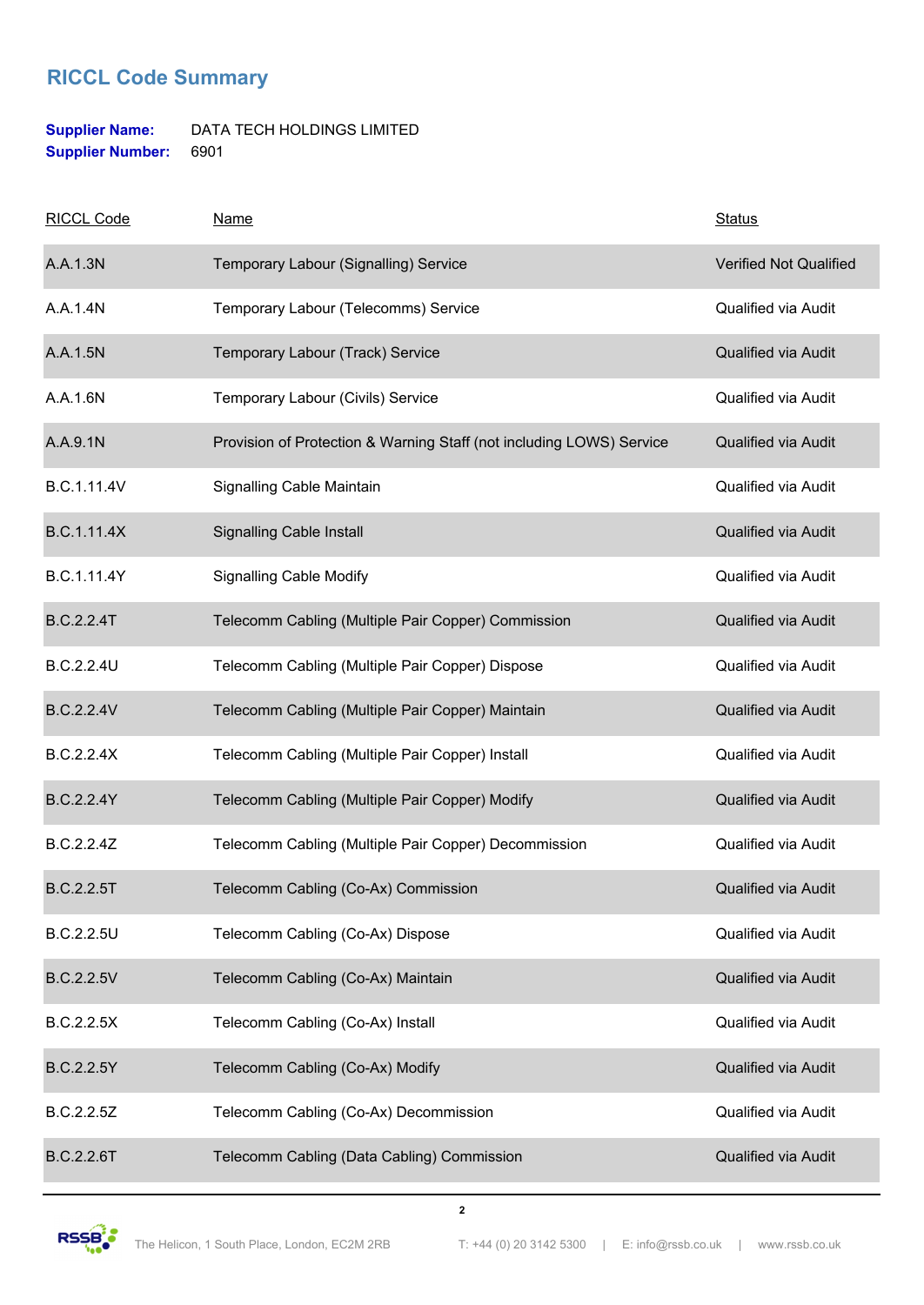### **RICCL Code Summary**

#### **Supplier Name:** DATA TECH HOLDINGS LIMITED **Supplier Number:** 6901

| <b>RICCL Code</b> | <u>Name</u>                                                          | <b>Status</b>                 |
|-------------------|----------------------------------------------------------------------|-------------------------------|
| A.A.1.3N          | Temporary Labour (Signalling) Service                                | <b>Verified Not Qualified</b> |
| A.A.1.4N          | Temporary Labour (Telecomms) Service                                 | <b>Qualified via Audit</b>    |
| A.A.1.5N          | Temporary Labour (Track) Service                                     | <b>Qualified via Audit</b>    |
| A.A.1.6N          | Temporary Labour (Civils) Service                                    | Qualified via Audit           |
| A.A.9.1N          | Provision of Protection & Warning Staff (not including LOWS) Service | <b>Qualified via Audit</b>    |
| B.C.1.11.4V       | Signalling Cable Maintain                                            | Qualified via Audit           |
| B.C.1.11.4X       | <b>Signalling Cable Install</b>                                      | <b>Qualified via Audit</b>    |
| B.C.1.11.4Y       | <b>Signalling Cable Modify</b>                                       | <b>Qualified via Audit</b>    |
| <b>B.C.2.2.4T</b> | Telecomm Cabling (Multiple Pair Copper) Commission                   | Qualified via Audit           |
| <b>B.C.2.2.4U</b> | Telecomm Cabling (Multiple Pair Copper) Dispose                      | <b>Qualified via Audit</b>    |
| <b>B.C.2.2.4V</b> | Telecomm Cabling (Multiple Pair Copper) Maintain                     | Qualified via Audit           |
| B.C.2.2.4X        | Telecomm Cabling (Multiple Pair Copper) Install                      | Qualified via Audit           |
| <b>B.C.2.2.4Y</b> | Telecomm Cabling (Multiple Pair Copper) Modify                       | Qualified via Audit           |
| B.C.2.2.4Z        | Telecomm Cabling (Multiple Pair Copper) Decommission                 | Qualified via Audit           |
| <b>B.C.2.2.5T</b> | Telecomm Cabling (Co-Ax) Commission                                  | <b>Qualified via Audit</b>    |
| B.C.2.2.5U        | Telecomm Cabling (Co-Ax) Dispose                                     | Qualified via Audit           |
| <b>B.C.2.2.5V</b> | Telecomm Cabling (Co-Ax) Maintain                                    | <b>Qualified via Audit</b>    |
| B.C.2.2.5X        | Telecomm Cabling (Co-Ax) Install                                     | <b>Qualified via Audit</b>    |
| B.C.2.2.5Y        | Telecomm Cabling (Co-Ax) Modify                                      | Qualified via Audit           |
| B.C.2.2.5Z        | Telecomm Cabling (Co-Ax) Decommission                                | Qualified via Audit           |
| <b>B.C.2.2.6T</b> | Telecomm Cabling (Data Cabling) Commission                           | Qualified via Audit           |